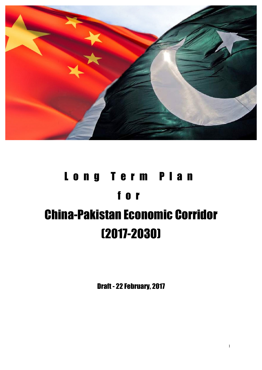

# Long Term Plan for China-Pakistan Economic Corridor (2017-2030)

Draft - 22 February, 2017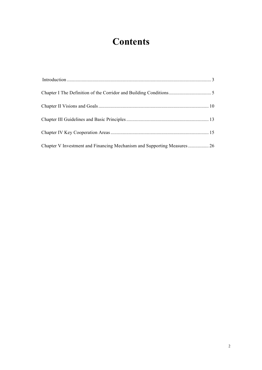### **Contents**

| Chapter V Investment and Financing Mechanism and Supporting Measures 26 |  |
|-------------------------------------------------------------------------|--|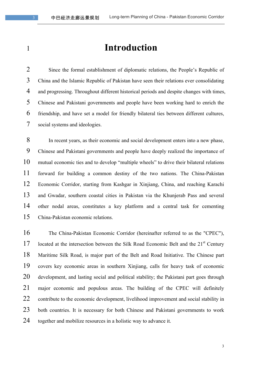### **Introduction**

 Since the formal establishment of diplomatic relations, the People's Republic of China and the Islamic Republic of Pakistan have seen their relations ever consolidating and progressing. Throughout different historical periods and despite changes with times, Chinese and Pakistani governments and people have been working hard to enrich the friendship, and have set a model for friendly bilateral ties between different cultures, social systems and ideologies.

 In recent years, as their economic and social development enters into a new phase, Chinese and Pakistani governments and people have deeply realized the importance of mutual economic ties and to develop "multiple wheels" to drive their bilateral relations forward for building a common destiny of the two nations. The China-Pakistan Economic Corridor, starting from Kashgar in Xinjiang, China, and reaching Karachi and Gwadar, southern coastal cities in Pakistan via the Khunjerab Pass and several other nodal areas, constitutes a key platform and a central task for cementing China-Pakistan economic relations.

 The China-Pakistan Economic Corridor (hereinafter referred to as the "CPEC"), 17 located at the intersection between the Silk Road Economic Belt and the  $21<sup>st</sup>$  Century Maritime Silk Road, is major part of the Belt and Road Initiative. The Chinese part covers key economic areas in southern Xinjiang, calls for heavy task of economic development, and lasting social and political stability; the Pakistani part goes through major economic and populous areas. The building of the CPEC will definitely 22 contribute to the economic development, livelihood improvement and social stability in both countries. It is necessary for both Chinese and Pakistani governments to work together and mobilize resources in a holistic way to advance it.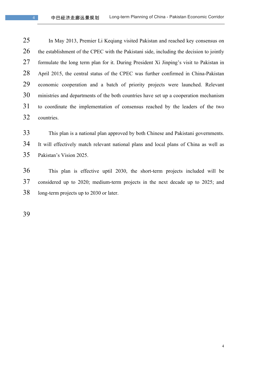In May 2013, Premier Li Keqiang visited Pakistan and reached key consensus on 26 the establishment of the CPEC with the Pakistani side, including the decision to jointly formulate the long term plan for it. During President Xi Jinping's visit to Pakistan in April 2015, the central status of the CPEC was further confirmed in China-Pakistan economic cooperation and a batch of priority projects were launched. Relevant ministries and departments of the both countries have set up a cooperation mechanism to coordinate the implementation of consensus reached by the leaders of the two countries.

 This plan is a national plan approved by both Chinese and Pakistani governments. It will effectively match relevant national plans and local plans of China as well as Pakistan's Vision 2025.

 This plan is effective uptil 2030, the short-term projects included will be considered up to 2020; medium-term projects in the next decade up to 2025; and long-term projects up to 2030 or later.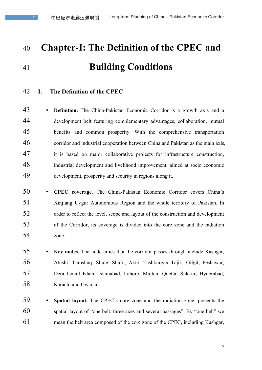## **Chapter-I: The Definition of the CPEC and Building Conditions**

### **I. The Definition of the CPEC**

 • **Definition.** The China-Pakistan Economic Corridor is a growth axis and a development belt featuring complementary advantages, collaboration, mutual benefits and common prosperity. With the comprehensive transportation corridor and industrial cooperation between China and Pakistan as the main axis, it is based on major collaborative projects for infrastructure construction, industrial development and livelihood improvement, aimed at socio economic development, prosperity and security in regions along it.

- **CPEC coverage**. The China-Pakistan Economic Corridor covers China's Xinjiang Uygur Autonomous Region and the whole territory of Pakistan. In order to reflect the level, scope and layout of the construction and development of the Corridor, its coverage is divided into the core zone and the radiation zone.
- **Key nodes**. The node cities that the corridor passes through include Kashgar, Atushi, Tumshuq, Shule, Shufu, Akto, Tashkurgan Tajik, Gilgit, Peshawar, Dera Ismail Khan, Islamabad, Lahore, Multan, Quetta, Sukkur, Hyderabad, Karachi and Gwadar.
- **Spatial layout.** The CPEC's core zone and the radiation zone, presents the spatial layout of "one belt, three axes and several passages". By "one belt" we mean the belt area composed of the core zone of the CPEC, including Kashgar,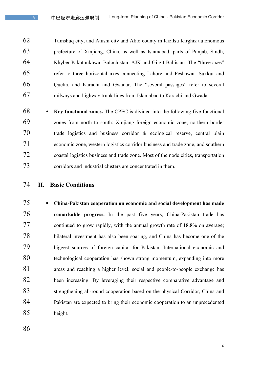Tumshuq city, and Atushi city and Akto county in Kizilsu Kirghiz autonomous prefecture of Xinjiang, China, as well as Islamabad, parts of Punjab, Sindh, Khyber Pakhtunkhwa, Balochistan, AJK and Gilgit-Baltistan. The "three axes" refer to three horizontal axes connecting Lahore and Peshawar, Sukkur and Quetta, and Karachi and Gwadar. The "several passages" refer to several railways and highway trunk lines from Islamabad to Karachi and Gwadar.

- **Key functional zones.** The CPEC is divided into the following five functional zones from north to south: Xinjiang foreign economic zone, northern border trade logistics and business corridor & ecological reserve, central plain economic zone, western logistics corridor business and trade zone, and southern coastal logistics business and trade zone. Most of the node cities, transportation corridors and industrial clusters are concentrated in them.
- **II. Basic Conditions**
- § **China-Pakistan cooperation on economic and social development has made remarkable progress.** In the past five years, China-Pakistan trade has continued to grow rapidly, with the annual growth rate of 18.8% on average; bilateral investment has also been soaring, and China has become one of the biggest sources of foreign capital for Pakistan. International economic and technological cooperation has shown strong momentum, expanding into more areas and reaching a higher level; social and people-to-people exchange has been increasing. By leveraging their respective comparative advantage and 83 strengthening all-round cooperation based on the physical Corridor, China and Pakistan are expected to bring their economic cooperation to an unprecedented height.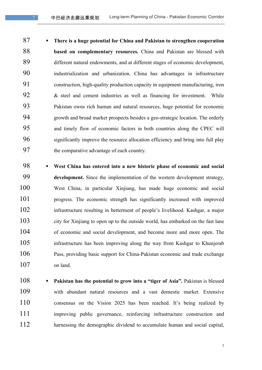§ **There is a huge potential for China and Pakistan to strengthen cooperation based on complementary resources.** China and Pakistan are blessed with different natural endowments, and at different stages of economic development, industrialization and urbanization. China has advantages in infrastructure construction, high-quality production capacity in equipment manufacturing, iron & steel and cement industries as well as financing for investment. While Pakistan owns rich human and natural resources, huge potential for economic growth and broad market prospects besides a geo-strategic location. The orderly and timely flow of economic factors in both countries along the CPEC will significantly improve the resource allocation efficiency and bring into full play the comparative advantage of each country.

 § **West China has entered into a new historic phase of economic and social development.** Since the implementation of the western development strategy, West China, in particular Xinjiang, has made huge economic and social progress. The economic strength has significantly increased with improved infrastructure resulting in betterment of people's livelihood. Kashgar, a major city for Xinjiang to open up to the outside world, has embarked on the fast lane of economic and social development, and become more and more open. The infrastructure has been improving along the way from Kashgar to Khunjerab Pass, providing basic support for China-Pakistan economic and trade exchange on land.

108 • **Pakistan has the potential to grow into a "tiger of Asia".** Pakistan is blessed with abundant natural resources and a vast domestic market. Extensive 110 consensus on the Vision 2025 has been reached. It's being realized by improving public governance, reinforcing infrastructure construction and 112 harnessing the demographic dividend to accumulate human and social capital,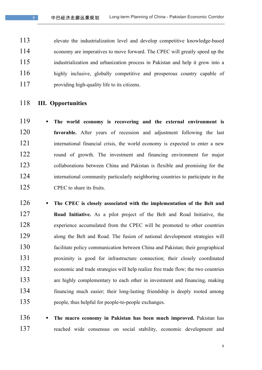elevate the industrialization level and develop competitive knowledge-based economy are imperatives to move forward. The CPEC will greatly speed up the industrialization and urbanization process in Pakistan and help it grow into a 116 highly inclusive, globally competitive and prosperous country capable of 117 providing high-quality life to its citizens.

- **III. Opportunities**
- § **The world economy is recovering and the external environment is favorable.** After years of recession and adjustment following the last 121 international financial crisis, the world economy is expected to enter a new 122 round of growth. The investment and financing environment for major collaborations between China and Pakistan is flexible and promising for the 124 international community particularly neighboring countries to participate in the 125 CPEC to share its fruits.
- 126 The CPEC is closely associated with the implementation of the Belt and **Road Initiative.** As a pilot project of the Belt and Road Initiative, the 128 experience accumulated from the CPEC will be promoted to other countries along the Belt and Road. The fusion of national development strategies will facilitate policy communication between China and Pakistan; their geographical proximity is good for infrastructure connection; their closely coordinated economic and trade strategies will help realize free trade flow; the two countries are highly complementary to each other in investment and financing, making financing much easier; their long-lasting friendship is deeply rooted among people, thus helpful for people-to-people exchanges.
- 136 The macro economy in Pakistan has been much improved. Pakistan has reached wide consensus on social stability, economic development and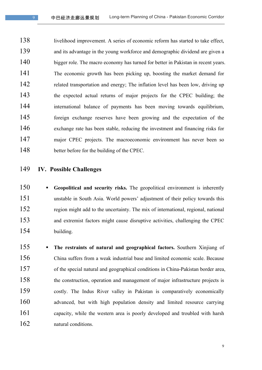138 livelihood improvement. A series of economic reform has started to take effect, and its advantage in the young workforce and demographic dividend are given a 140 bigger role. The macro economy has turned for better in Pakistan in recent years. The economic growth has been picking up, boosting the market demand for 142 related transportation and energy; The inflation level has been low, driving up the expected actual returns of major projects for the CPEC building; the international balance of payments has been moving towards equilibrium, foreign exchange reserves have been growing and the expectation of the exchange rate has been stable, reducing the investment and financing risks for 147 major CPEC projects. The macroeconomic environment has never been so 148 better before for the building of the CPEC.

- **IV. Possible Challenges**
- 150 Geopolitical and security risks. The geopolitical environment is inherently unstable in South Asia. World powers' adjustment of their policy towards this 152 region might add to the uncertainty. The mix of international, regional, national and extremist factors might cause disruptive activities, challenging the CPEC building.
- The restraints of natural and geographical factors. Southern Xinjiang of China suffers from a weak industrial base and limited economic scale. Because of the special natural and geographical conditions in China-Pakistan border area, the construction, operation and management of major infrastructure projects is costly. The Indus River valley in Pakistan is comparatively economically 160 advanced, but with high population density and limited resource carrying capacity, while the western area is poorly developed and troubled with harsh 162 natural conditions.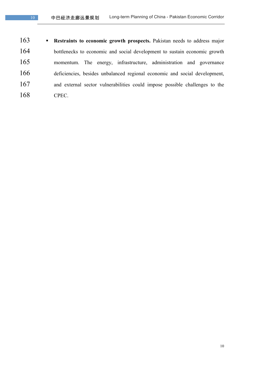**• Restraints to economic growth prospects.** Pakistan needs to address major bottlenecks to economic and social development to sustain economic growth momentum. The energy, infrastructure, administration and governance deficiencies, besides unbalanced regional economic and social development, and external sector vulnerabilities could impose possible challenges to the CPEC.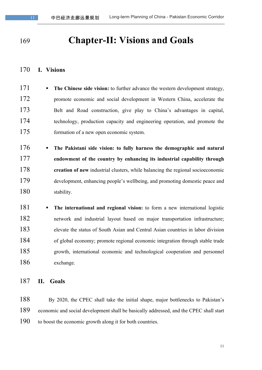### **Chapter-II: Visions and Goals**

#### **I. Visions**

- **The Chinese side vision:** to further advance the western development strategy, 172 promote economic and social development in Western China, accelerate the Belt and Road construction, give play to China's advantages in capital, technology, production capacity and engineering operation, and promote the 175 formation of a new open economic system.
- § **The Pakistani side vision: to fully harness the demographic and natural endowment of the country by enhancing its industrial capability through creation of new** industrial clusters, while balancing the regional socioeconomic development, enhancing people's wellbeing, and promoting domestic peace and 180 stability.
- 181 **The international and regional vision:** to form a new international logistic 182 network and industrial layout based on major transportation infrastructure; elevate the status of South Asian and Central Asian countries in labor division of global economy; promote regional economic integration through stable trade growth, international economic and technological cooperation and personnel exchange.

#### **II. Goals**

 By 2020, the CPEC shall take the initial shape, major bottlenecks to Pakistan's economic and social development shall be basically addressed, and the CPEC shall start to boost the economic growth along it for both countries.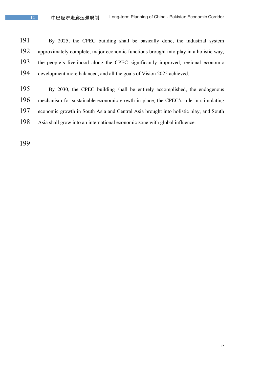By 2025, the CPEC building shall be basically done, the industrial system approximately complete, major economic functions brought into play in a holistic way, the people's livelihood along the CPEC significantly improved, regional economic development more balanced, and all the goals of Vision 2025 achieved.

 By 2030, the CPEC building shall be entirely accomplished, the endogenous mechanism for sustainable economic growth in place, the CPEC's role in stimulating economic growth in South Asia and Central Asia brought into holistic play, and South Asia shall grow into an international economic zone with global influence.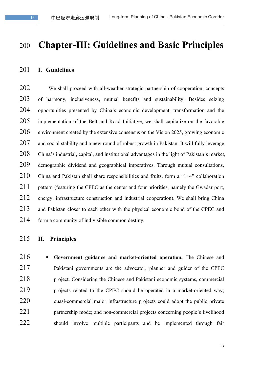### **Chapter-III: Guidelines and Basic Principles**

#### **I. Guidelines**

 We shall proceed with all-weather strategic partnership of cooperation, concepts of harmony, inclusiveness, mutual benefits and sustainability. Besides seizing opportunities presented by China's economic development, transformation and the implementation of the Belt and Road Initiative, we shall capitalize on the favorable environment created by the extensive consensus on the Vision 2025, growing economic 207 and social stability and a new round of robust growth in Pakistan. It will fully leverage China's industrial, capital, and institutional advantages in the light of Pakistan's market, demographic dividend and geographical imperatives. Through mutual consultations, 210 China and Pakistan shall share responsibilities and fruits, form a "1+4" collaboration 211 pattern (featuring the CPEC as the center and four priorities, namely the Gwadar port, energy, infrastructure construction and industrial cooperation). We shall bring China and Pakistan closer to each other with the physical economic bond of the CPEC and form a community of indivisible common destiny.

### **II. Principles**

 § **Government guidance and market-oriented operation.** The Chinese and Pakistani governments are the advocator, planner and guider of the CPEC project. Considering the Chinese and Pakistani economic systems, commercial projects related to the CPEC should be operated in a market-oriented way; 220 quasi-commercial major infrastructure projects could adopt the public private partnership mode; and non-commercial projects concerning people's livelihood 222 should involve multiple participants and be implemented through fair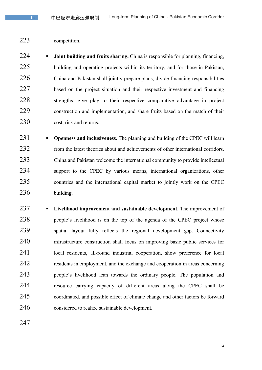- 
- competition.

**•• Joint building and fruits sharing.** China is responsible for planning, financing, 225 building and operating projects within its territory, and for those in Pakistan, China and Pakistan shall jointly prepare plans, divide financing responsibilities 227 based on the project situation and their respective investment and financing strengths, give play to their respective comparative advantage in project construction and implementation, and share fruits based on the match of their 230 cost, risk and returns.

- **Openness and inclusiveness.** The planning and building of the CPEC will learn 232 from the latest theories about and achievements of other international corridors. China and Pakistan welcome the international community to provide intellectual 234 support to the CPEC by various means, international organizations, other countries and the international capital market to jointly work on the CPEC building.
- § **Livelihood improvement and sustainable development.** The improvement of 238 people's livelihood is on the top of the agenda of the CPEC project whose spatial layout fully reflects the regional development gap. Connectivity infrastructure construction shall focus on improving basic public services for 241 local residents, all-round industrial cooperation, show preference for local residents in employment, and the exchange and cooperation in areas concerning people's livelihood lean towards the ordinary people. The population and resource carrying capacity of different areas along the CPEC shall be coordinated, and possible effect of climate change and other factors be forward considered to realize sustainable development.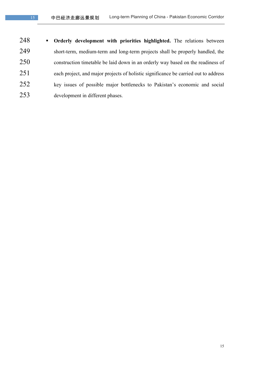§ **Orderly development with priorities highlighted.** The relations between short-term, medium-term and long-term projects shall be properly handled, the construction timetable be laid down in an orderly way based on the readiness of each project, and major projects of holistic significance be carried out to address key issues of possible major bottlenecks to Pakistan's economic and social development in different phases.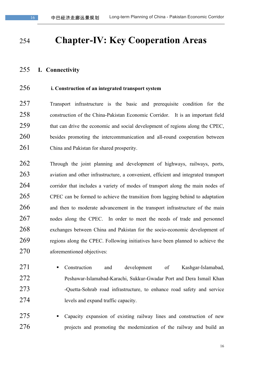### **Chapter-IV: Key Cooperation Areas**

#### **I. Connectivity**

### **i. Construction of an integrated transport system**

 Transport infrastructure is the basic and prerequisite condition for the construction of the China-Pakistan Economic Corridor. It is an important field that can drive the economic and social development of regions along the CPEC, besides promoting the intercommunication and all-round cooperation between China and Pakistan for shared prosperity.

 Through the joint planning and development of highways, railways, ports, aviation and other infrastructure, a convenient, efficient and integrated transport corridor that includes a variety of modes of transport along the main nodes of CPEC can be formed to achieve the transition from lagging behind to adaptation 266 and then to moderate advancement in the transport infrastructure of the main nodes along the CPEC. In order to meet the needs of trade and personnel exchanges between China and Pakistan for the socio-economic development of regions along the CPEC. Following initiatives have been planned to achieve the aforementioned objectives:

- 271 Construction and development of Kashgar-Islamabad, Peshawar-Islamabad-Karachi, Sukkur-Gwadar Port and Dera Ismail Khan 273 -Quetta-Sohrab road infrastructure, to enhance road safety and service levels and expand traffic capacity.
- 275 Capacity expansion of existing railway lines and construction of new 276 projects and promoting the modernization of the railway and build an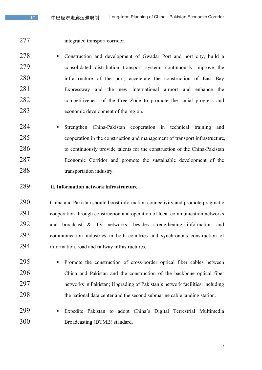- 
- integrated transport corridor.
- 278 Construction and development of Gwadar Port and port city, build a consolidated distribution transport system, continuously improve the infrastructure of the port, accelerate the construction of East Bay Expressway and the new international airport and enhance the competitiveness of the Free Zone to promote the social progress and economic development of the region.
- 284 Strengthen China-Pakistan cooperation in technical training and cooperation in the construction and management of transport infrastructure, 286 to continuously provide talents for the construction of the China-Pakistan Economic Corridor and promote the sustainable development of the transportation industry.
- **ii. Information network infrastructure**
- China and Pakistan should boost information connectivity and promote pragmatic cooperation through construction and operation of local communication networks and broadcast & TV networks; besides strengthening information and communication industries in both countries and synchronous construction of information, road and railway infrastructures.
- 295 Promote the construction of cross-border optical fiber cables between China and Pakistan and the construction of the backbone optical fiber networks in Pakistan; Upgrading of Pakistan's network facilities, including the national data center and the second submarine cable landing station.
- § Expedite Pakistan to adopt China's Digital Terrestrial Multimedia Broadcasting (DTMB) standard.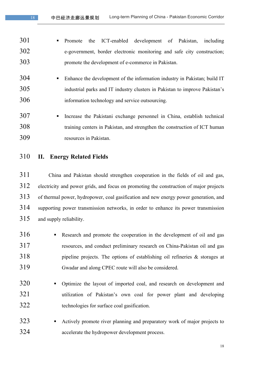- 301 Promote the ICT-enabled development of Pakistan, including e-government, border electronic monitoring and safe city construction; promote the development of e-commerce in Pakistan.
- 304 Enhance the development of the information industry in Pakistan; build IT industrial parks and IT industry clusters in Pakistan to improve Pakistan's information technology and service outsourcing.
- § Increase the Pakistani exchange personnel in China, establish technical training centers in Pakistan, and strengthen the construction of ICT human resources in Pakistan.
- **II. Energy Related Fields**

 China and Pakistan should strengthen cooperation in the fields of oil and gas, electricity and power grids, and focus on promoting the construction of major projects of thermal power, hydropower, coal gasification and new energy power generation, and supporting power transmission networks, in order to enhance its power transmission and supply reliability.

- 316 Research and promote the cooperation in the development of oil and gas resources, and conduct preliminary research on China-Pakistan oil and gas pipeline projects. The options of establishing oil refineries & storages at Gwadar and along CPEC route will also be considered.
- 320 Optimize the layout of imported coal, and research on development and utilization of Pakistan's own coal for power plant and developing technologies for surface coal gasification.
- 323 Actively promote river planning and preparatory work of major projects to accelerate the hydropower development process.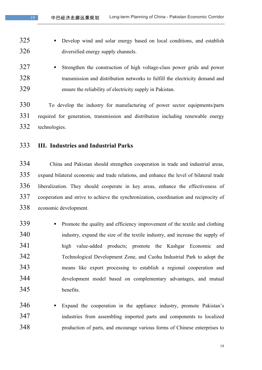- **•** Develop wind and solar energy based on local conditions, and establish diversified energy supply channels.
- **•** Strengthen the construction of high voltage-class power grids and power transmission and distribution networks to fulfill the electricity demand and ensure the reliability of electricity supply in Pakistan.

 To develop the industry for manufacturing of power sector equipments/parts required for generation, transmission and distribution including renewable energy technologies.

### **III. Industries and Industrial Parks**

 China and Pakistan should strengthen cooperation in trade and industrial areas, expand bilateral economic and trade relations, and enhance the level of bilateral trade liberalization. They should cooperate in key areas, enhance the effectiveness of cooperation and strive to achieve the synchronization, coordination and reciprocity of economic development.

- 339 Promote the quality and efficiency improvement of the textile and clothing industry, expand the size of the textile industry, and increase the supply of high value-added products; promote the Kashgar Economic and Technological Development Zone, and Caohu Industrial Park to adopt the means like export processing to establish a regional cooperation and development model based on complementary advantages, and mutual benefits.
- 346 Expand the cooperation in the appliance industry, promote Pakistan's industries from assembling imported parts and components to localized production of parts, and encourage various forms of Chinese enterprises to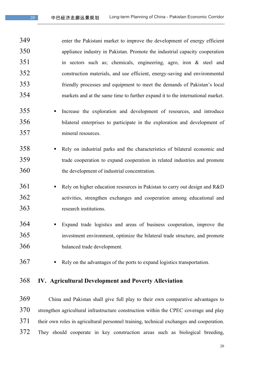enter the Pakistani market to improve the development of energy efficient appliance industry in Pakistan. Promote the industrial capacity cooperation in sectors such as; chemicals, engineering, agro, iron & steel and construction materials, and use efficient, energy-saving and environmental friendly processes and equipment to meet the demands of Pakistan's local markets and at the same time to further expand it to the international market.

- 355 Increase the exploration and development of resources, and introduce bilateral enterprises to participate in the exploration and development of mineral resources.
- 358 Bely on industrial parks and the characteristics of bilateral economic and trade cooperation to expand cooperation in related industries and promote the development of industrial concentration.
- 361 Rely on higher education resources in Pakistan to carry out design and R&D activities, strengthen exchanges and cooperation among educational and research institutions.
- 364 Expand trade logistics and areas of business cooperation, improve the investment environment, optimize the bilateral trade structure, and promote balanced trade development.
- Rely on the advantages of the ports to expand logistics transportation.

### **IV. Agricultural Development and Poverty Alleviation**

 China and Pakistan shall give full play to their own comparative advantages to strengthen agricultural infrastructure construction within the CPEC coverage and play their own roles in agricultural personnel training, technical exchanges and cooperation. They should cooperate in key construction areas such as biological breeding,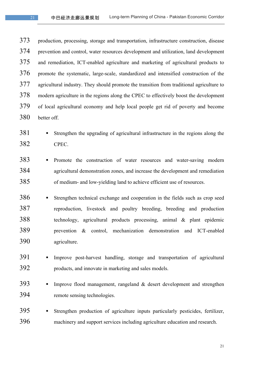production, processing, storage and transportation, infrastructure construction, disease prevention and control, water resources development and utilization, land development and remediation, ICT-enabled agriculture and marketing of agricultural products to promote the systematic, large-scale, standardized and intensified construction of the 377 agricultural industry. They should promote the transition from traditional agriculture to modern agriculture in the regions along the CPEC to effectively boost the development of local agricultural economy and help local people get rid of poverty and become better off.

- 381 Strengthen the upgrading of agricultural infrastructure in the regions along the CPEC.
- 383 Promote the construction of water resources and water-saving modern agricultural demonstration zones, and increase the development and remediation of medium- and low-yielding land to achieve efficient use of resources.
- 386 Strengthen technical exchange and cooperation in the fields such as crop seed reproduction, livestock and poultry breeding, breeding and production technology, agricultural products processing, animal & plant epidemic prevention & control, mechanization demonstration and ICT-enabled agriculture.
- § Improve post-harvest handling, storage and transportation of agricultural products, and innovate in marketing and sales models.
- 393 Improve flood management, rangeland & desert development and strengthen remote sensing technologies.
- 395 Strengthen production of agriculture inputs particularly pesticides, fertilizer, machinery and support services including agriculture education and research.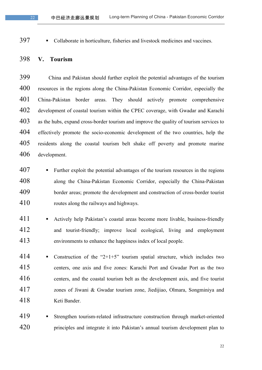397 • Collaborate in horticulture, fisheries and livestock medicines and vaccines.

#### **V. Tourism**

 China and Pakistan should further exploit the potential advantages of the tourism resources in the regions along the China-Pakistan Economic Corridor, especially the China-Pakistan border areas. They should actively promote comprehensive development of coastal tourism within the CPEC coverage, with Gwadar and Karachi as the hubs, expand cross-border tourism and improve the quality of tourism services to effectively promote the socio-economic development of the two countries, help the residents along the coastal tourism belt shake off poverty and promote marine development.

- Further exploit the potential advantages of the tourism resources in the regions along the China-Pakistan Economic Corridor, especially the China-Pakistan border areas; promote the development and construction of cross-border tourist routes along the railways and highways.
- 411 Actively help Pakistan's coastal areas become more livable, business-friendly and tourist-friendly; improve local ecological, living and employment environments to enhance the happiness index of local people.
- 414 Construction of the "2+1+5" tourism spatial structure, which includes two centers, one axis and five zones: Karachi Port and Gwadar Port as the two centers, and the coastal tourism belt as the development axis, and five tourist zones of Jiwani & Gwadar tourism zone, Jiedijiao, Olmara, Songminiya and Keti Bander.
- § Strengthen tourism-related infrastructure construction through market-oriented 420 principles and integrate it into Pakistan's annual tourism development plan to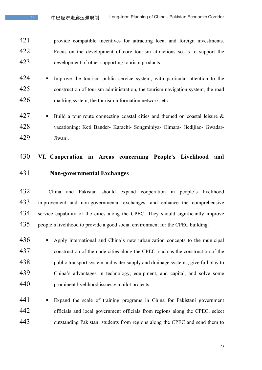provide compatible incentives for attracting local and foreign investments. Focus on the development of core tourism attractions so as to support the development of other supporting tourism products.

- 424 Improve the tourism public service system, with particular attention to the construction of tourism administration, the tourism navigation system, the road marking system, the tourism information network, etc.
- 427  $\blacksquare$  Build a tour route connecting coastal cities and themed on coastal leisure & vacationing: Keti Bander- Karachi- Songminiya- Olmara- Jiedijiao- Gwadar-Jiwani.

### **VI. Cooperation in Areas concerning People's Livelihood and**

**Non-governmental Exchanges**

 China and Pakistan should expand cooperation in people's livelihood improvement and non-governmental exchanges, and enhance the comprehensive service capability of the cities along the CPEC. They should significantly improve people's livelihood to provide a good social environment for the CPEC building.

436 • Apply international and China's new urbanization concepts to the municipal construction of the node cities along the CPEC, such as the construction of the 438 bublic transport system and water supply and drainage systems; give full play to China's advantages in technology, equipment, and capital, and solve some prominent livelihood issues via pilot projects.

441 • Expand the scale of training programs in China for Pakistani government officials and local government officials from regions along the CPEC; select outstanding Pakistani students from regions along the CPEC and send them to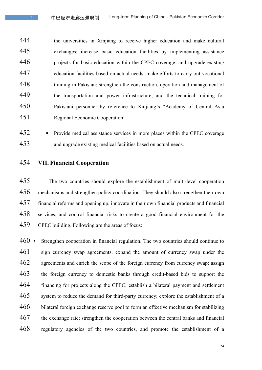the universities in Xinjiang to receive higher education and make cultural exchanges; increase basic education facilities by implementing assistance projects for basic education within the CPEC coverage, and upgrade existing education facilities based on actual needs; make efforts to carry out vocational training in Pakistan; strengthen the construction, operation and management of the transportation and power infrastructure, and the technical training for Pakistani personnel by reference to Xinjiang's "Academy of Central Asia Regional Economic Cooperation".

452 Provide medical assistance services in more places within the CPEC coverage and upgrade existing medical facilities based on actual needs.

**VII. Financial Cooperation** 

 The two countries should explore the establishment of multi-level cooperation mechanisms and strengthen policy coordination. They should also strengthen their own financial reforms and opening up, innovate in their own financial products and financial services, and control financial risks to create a good financial environment for the CPEC building. Following are the areas of focus:

460 • Strengthen cooperation in financial regulation. The two countries should continue to sign currency swap agreements, expand the amount of currency swap under the 462 agreements and enrich the scope of the foreign currency from currency swap; assign the foreign currency to domestic banks through credit-based bids to support the financing for projects along the CPEC; establish a bilateral payment and settlement system to reduce the demand for third-party currency; explore the establishment of a bilateral foreign exchange reserve pool to form an effective mechanism for stabilizing the exchange rate; strengthen the cooperation between the central banks and financial regulatory agencies of the two countries, and promote the establishment of a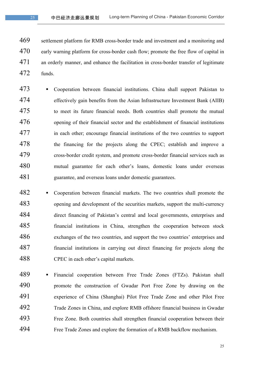settlement platform for RMB cross-border trade and investment and a monitoring and 470 early warning platform for cross-border cash flow; promote the free flow of capital in an orderly manner, and enhance the facilitation in cross-border transfer of legitimate funds.

- § Cooperation between financial institutions. China shall support Pakistan to effectively gain benefits from the Asian Infrastructure Investment Bank (AIIB) to meet its future financial needs. Both countries shall promote the mutual opening of their financial sector and the establishment of financial institutions in each other; encourage financial institutions of the two countries to support the financing for the projects along the CPEC; establish and improve a cross-border credit system, and promote cross-border financial services such as 480 mutual guarantee for each other's loans, domestic loans under overseas guarantee, and overseas loans under domestic guarantees.
- 482 Cooperation between financial markets. The two countries shall promote the opening and development of the securities markets, support the multi-currency direct financing of Pakistan's central and local governments, enterprises and financial institutions in China, strengthen the cooperation between stock exchanges of the two countries, and support the two countries' enterprises and financial institutions in carrying out direct financing for projects along the CPEC in each other's capital markets.
- 489 Financial cooperation between Free Trade Zones (FTZs). Pakistan shall promote the construction of Gwadar Port Free Zone by drawing on the experience of China (Shanghai) Pilot Free Trade Zone and other Pilot Free Trade Zones in China, and explore RMB offshore financial business in Gwadar Free Zone. Both countries shall strengthen financial cooperation between their Free Trade Zones and explore the formation of a RMB backflow mechanism.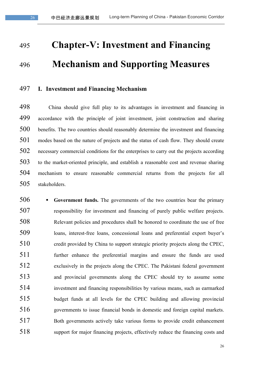## **Chapter-V: Investment and Financing Mechanism and Supporting Measures**

### **I. Investment and Financing Mechanism**

 China should give full play to its advantages in investment and financing in accordance with the principle of joint investment, joint construction and sharing benefits. The two countries should reasonably determine the investment and financing modes based on the nature of projects and the status of cash flow. They should create necessary commercial conditions for the enterprises to carry out the projects according to the market-oriented principle, and establish a reasonable cost and revenue sharing mechanism to ensure reasonable commercial returns from the projects for all stakeholders.

 § **Government funds.** The governments of the two countries bear the primary responsibility for investment and financing of purely public welfare projects. Relevant policies and procedures shall be honored to coordinate the use of free loans, interest-free loans, concessional loans and preferential export buyer's credit provided by China to support strategic priority projects along the CPEC, further enhance the preferential margins and ensure the funds are used exclusively in the projects along the CPEC. The Pakistani federal government and provincial governments along the CPEC should try to assume some investment and financing responsibilities by various means, such as earmarked budget funds at all levels for the CPEC building and allowing provincial governments to issue financial bonds in domestic and foreign capital markets. Both governments actively take various forms to provide credit enhancement support for major financing projects, effectively reduce the financing costs and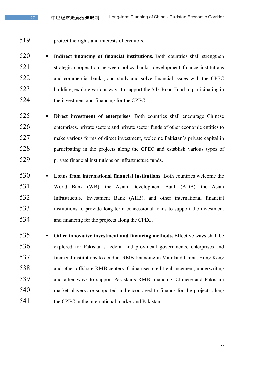protect the rights and interests of creditors.

 § **Indirect financing of financial institutions.** Both countries shall strengthen strategic cooperation between policy banks, development finance institutions and commercial banks, and study and solve financial issues with the CPEC building; explore various ways to support the Silk Road Fund in participating in the investment and financing for the CPEC.

- § **Direct investment of enterprises.** Both countries shall encourage Chinese enterprises, private sectors and private sector funds of other economic entities to make various forms of direct investment, welcome Pakistan's private capital in participating in the projects along the CPEC and establish various types of private financial institutions or infrastructure funds.
- § **Loans from international financial institutions**. Both countries welcome the World Bank (WB), the Asian Development Bank (ADB), the Asian Infrastructure Investment Bank (AIIB), and other international financial institutions to provide long-term concessional loans to support the investment and financing for the projects along the CPEC.
- § **Other innovative investment and financing methods.** Effective ways shall be explored for Pakistan's federal and provincial governments, enterprises and financial institutions to conduct RMB financing in Mainland China, Hong Kong and other offshore RMB centers. China uses credit enhancement, underwriting and other ways to support Pakistan's RMB financing. Chinese and Pakistani market players are supported and encouraged to finance for the projects along 541 the CPEC in the international market and Pakistan.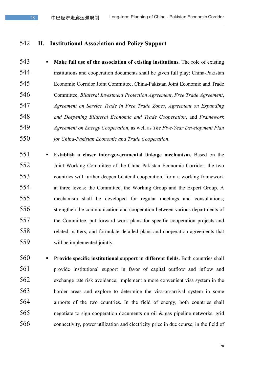### **II. Institutional Association and Policy Support**

 § **Make full use of the association of existing institutions.** The role of existing institutions and cooperation documents shall be given full play: China-Pakistan Economic Corridor Joint Committee, China-Pakistan Joint Economic and Trade Committee, *Bilateral Investment Protection Agreement*, *Free Trade Agreement*, *Agreement on Service Trade in Free Trade Zones*, *Agreement on Expanding and Deepening Bilateral Economic and Trade Cooperation*, and *Framework Agreement on Energy Cooperation*, as well as *The Five-Year Development Plan for China-Pakistan Economic and Trade Cooperation*.

- § **Establish a closer inter-governmental linkage mechanism.** Based on the Joint Working Committee of the China-Pakistan Economic Corridor, the two countries will further deepen bilateral cooperation, form a working framework at three levels: the Committee, the Working Group and the Expert Group. A mechanism shall be developed for regular meetings and consultations; strengthen the communication and cooperation between various departments of the Committee, put forward work plans for specific cooperation projects and related matters, and formulate detailed plans and cooperation agreements that will be implemented jointly.
- § **Provide specific institutional support in different fields.** Both countries shall provide institutional support in favor of capital outflow and inflow and exchange rate risk avoidance; implement a more convenient visa system in the border areas and explore to determine the visa-on-arrival system in some airports of the two countries. In the field of energy, both countries shall negotiate to sign cooperation documents on oil & gas pipeline networks, grid connectivity, power utilization and electricity price in due course; in the field of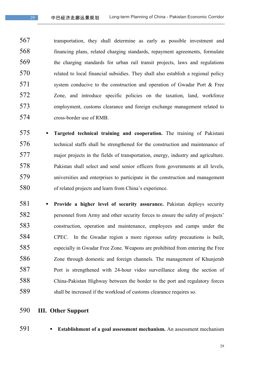transportation, they shall determine as early as possible investment and financing plans, related charging standards, repayment agreements, formulate the charging standards for urban rail transit projects, laws and regulations related to local financial subsidies. They shall also establish a regional policy 571 system conducive to the construction and operation of Gwadar Port & Free Zone, and introduce specific policies on the taxation, land, workforce employment, customs clearance and foreign exchange management related to cross-border use of RMB.

- § **Targeted technical training and cooperation.** The training of Pakistani technical staffs shall be strengthened for the construction and maintenance of major projects in the fields of transportation, energy, industry and agriculture. Pakistan shall select and send senior officers from governments at all levels, universities and enterprises to participate in the construction and management of related projects and learn from China's experience.
- § **Provide a higher level of security assurance.** Pakistan deploys security personnel from Army and other security forces to ensure the safety of projects' construction, operation and maintenance, employees and camps under the CPEC. In the Gwadar region a more rigorous safety precautions is built, especially in Gwadar Free Zone. Weapons are prohibited from entering the Free Zone through domestic and foreign channels. The management of Khunjerab Port is strengthened with 24-hour video surveillance along the section of China-Pakistan Highway between the border to the port and regulatory forces shall be increased if the workload of customs clearance requires so.
- **III. Other Support**
- 
- § **Establishment of a goal assessment mechanism.** An assessment mechanism